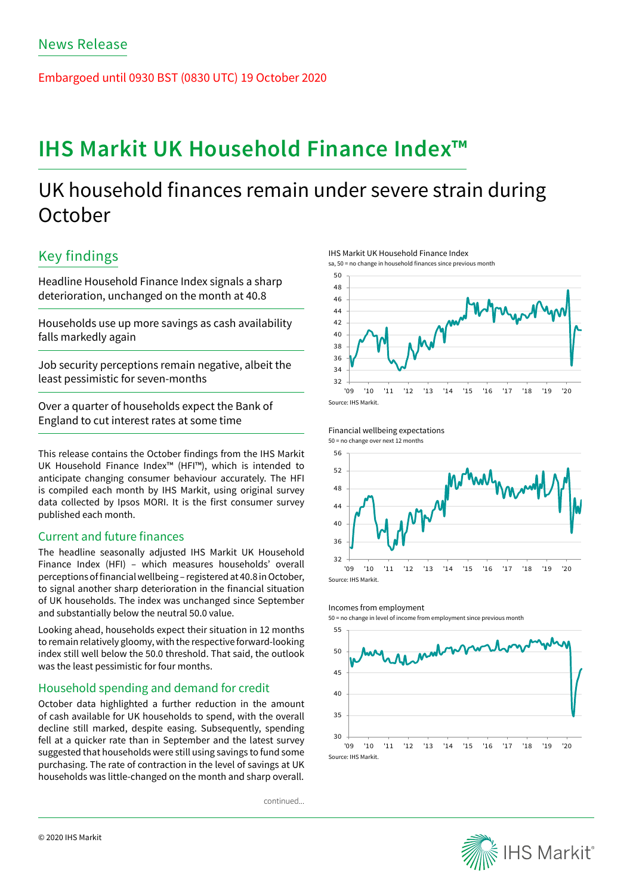Embargoed until 0930 BST (0830 UTC) 19 October 2020

# **IHS Markit UK Household Finance Index™**

## UK household finances remain under severe strain during **October**

## Key findings

Headline Household Finance Index signals a sharp deterioration, unchanged on the month at 40.8

Households use up more savings as cash availability falls markedly again

Job security perceptions remain negative, albeit the least pessimistic for seven-months

Over a quarter of households expect the Bank of England to cut interest rates at some time

This release contains the October findings from the IHS Markit UK Household Finance Index™ (HFI™), which is intended to anticipate changing consumer behaviour accurately. The HFI is compiled each month by IHS Markit, using original survey data collected by Ipsos MORI. It is the first consumer survey published each month.

## Current and future finances

The headline seasonally adjusted IHS Markit UK Household Finance Index (HFI) – which measures households' overall perceptions of financial wellbeing – registered at 40.8 in October, to signal another sharp deterioration in the financial situation of UK households. The index was unchanged since September and substantially below the neutral 50.0 value.

Looking ahead, households expect their situation in 12 months to remain relatively gloomy, with the respective forward-looking index still well below the 50.0 threshold. That said, the outlook was the least pessimistic for four months.

## Household spending and demand for credit

October data highlighted a further reduction in the amount of cash available for UK households to spend, with the overall decline still marked, despite easing. Subsequently, spending fell at a quicker rate than in September and the latest survey suggested that households were still using savings to fund some purchasing. The rate of contraction in the level of savings at UK households was little-changed on the month and sharp overall.

continued...

IHS Markit UK Household Finance Index sa, 50 = no change in household finances since previous month







#### Incomes from employment

50 = no change in level of income from employment since previous month



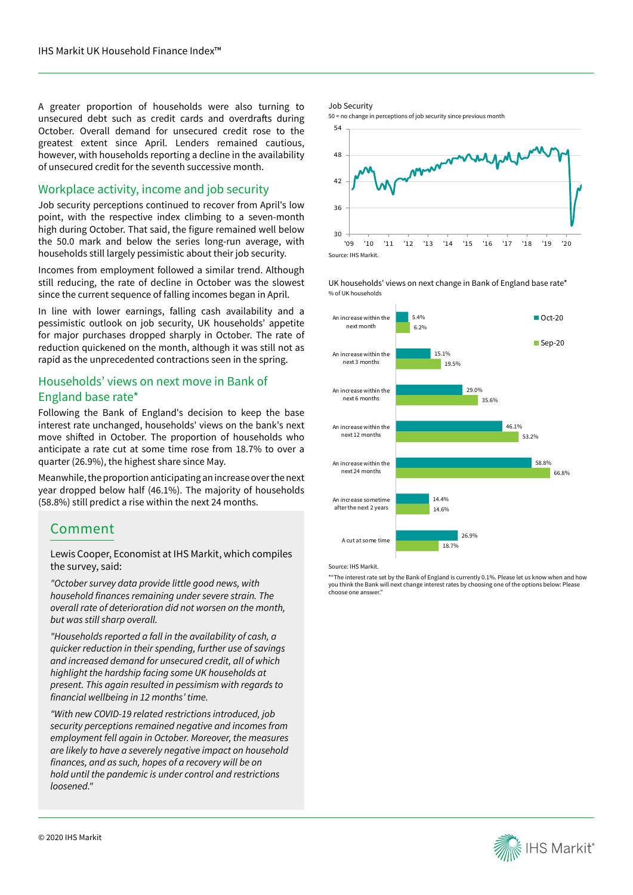A greater proportion of households were also turning to unsecured debt such as credit cards and overdrafts during October. Overall demand for unsecured credit rose to the greatest extent since April. Lenders remained cautious, however, with households reporting a decline in the availability of unsecured credit for the seventh successive month.

## Workplace activity, income and job security

Job security perceptions continued to recover from April's low point, with the respective index climbing to a seven-month high during October. That said, the figure remained well below the 50.0 mark and below the series long-run average, with households still largely pessimistic about their job security.

Incomes from employment followed a similar trend. Although still reducing, the rate of decline in October was the slowest since the current sequence of falling incomes began in April.

In line with lower earnings, falling cash availability and a pessimistic outlook on job security, UK households' appetite for major purchases dropped sharply in October. The rate of reduction quickened on the month, although it was still not as rapid as the unprecedented contractions seen in the spring.

## Households' views on next move in Bank of England base rate\*

Following the Bank of England's decision to keep the base interest rate unchanged, households' views on the bank's next move shifted in October. The proportion of households who anticipate a rate cut at some time rose from 18.7% to over a quarter (26.9%), the highest share since May.

Meanwhile, the proportion anticipating an increase over the next year dropped below half (46.1%). The majority of households (58.8%) still predict a rise within the next 24 months.

## Comment

Lewis Cooper, Economist at IHS Markit, which compiles the survey, said:

*"October survey data provide little good news, with*  household finances remaining under severe strain. The overall rate of deterioration did not worsen on the month, but was still sharp overall.

*"Households reported a fall in the availability of cash, a quicker reduction in their spending, further use of savings*  and increased demand for unsecured credit, all of which highlight the hardship facing some UK households at present. This again resulted in pessimism with regards to financial wellbeing in 12 months' time.

"With new COVID-19 related restrictions introduced, job security perceptions remained negative and incomes from employment fell again in October. Moreover, the measures are likely to have a severely negative impact on household finances, and as such, hopes of a recovery will be on hold until the pandemic is under control and restrictions loosened."

#### Job Security

50 = no change in perceptions of job security since previous month



UK households' views on next change in Bank of England base rate\* % of UK households



Source: IHS Markit.

\*"The interest rate set by the Bank of England is currently 0.1%. Please let us know when and how you think the Bank will next change interest rates by choosing one of the options below: Please choose one answer."